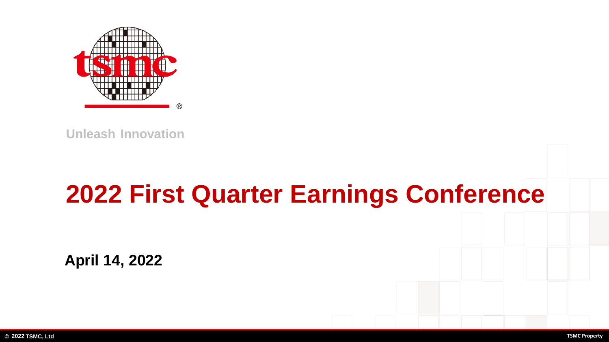

# **2022 First Quarter Earnings Conference**

**April 14, 2022**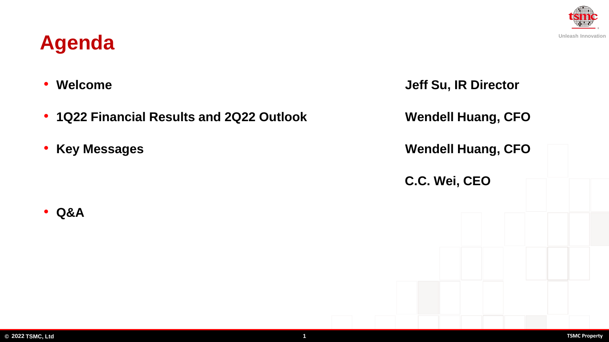### **Agenda**

• **Q&A**

- **1Q22 Financial Results and 2Q22 Outlook Wendell Huang, CFO**
- 

• **Welcome Jeff Su, IR Director** • **Key Messages Wendell Huang, CFO C.C. Wei, CEO**

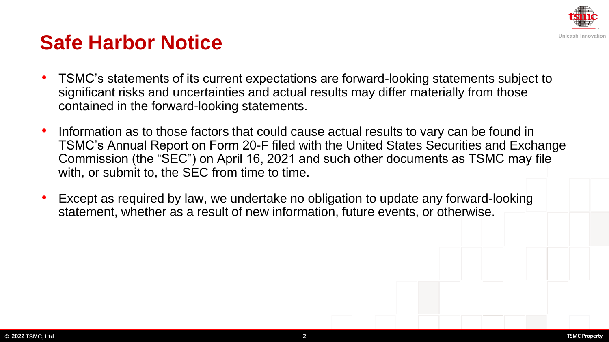

### **Safe Harbor Notice**

- TSMC's statements of its current expectations are forward-looking statements subject to significant risks and uncertainties and actual results may differ materially from those contained in the forward-looking statements.
- Information as to those factors that could cause actual results to vary can be found in TSMC's Annual Report on Form 20-F filed with the United States Securities and Exchange Commission (the "SEC") on April 16, 2021 and such other documents as TSMC may file with, or submit to, the SEC from time to time.
- Except as required by law, we undertake no obligation to update any forward-looking statement, whether as a result of new information, future events, or otherwise.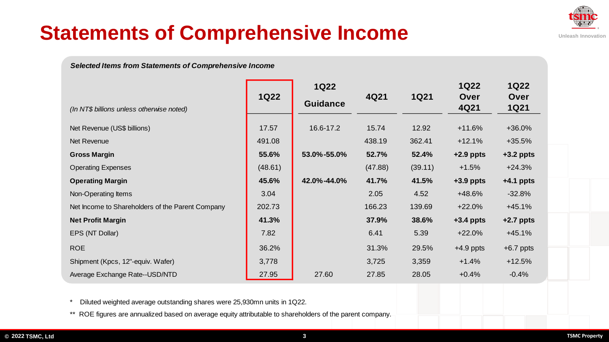

# **Statements of Comprehensive Income**

*Selected Items from Statements of Comprehensive Income* 

|                                                  | <b>1Q22</b> | <b>1Q22</b>     |         | <b>1Q21</b> | <b>1Q22</b>  | <b>1Q22</b>         |
|--------------------------------------------------|-------------|-----------------|---------|-------------|--------------|---------------------|
| (In NT\$ billions unless otherwise noted)        |             | <b>Guidance</b> | 4Q21    |             | Over<br>4Q21 | Over<br><b>1Q21</b> |
| Net Revenue (US\$ billions)                      | 17.57       | 16.6-17.2       | 15.74   | 12.92       | $+11.6%$     | $+36.0%$            |
| Net Revenue                                      | 491.08      |                 | 438.19  | 362.41      | $+12.1%$     | $+35.5%$            |
| <b>Gross Margin</b>                              | 55.6%       | 53.0%-55.0%     | 52.7%   | 52.4%       | $+2.9$ ppts  | $+3.2$ ppts         |
| <b>Operating Expenses</b>                        | (48.61)     |                 | (47.88) | (39.11)     | $+1.5%$      | $+24.3%$            |
| <b>Operating Margin</b>                          | 45.6%       | 42.0%-44.0%     | 41.7%   | 41.5%       | $+3.9$ ppts  | $+4.1$ ppts         |
| Non-Operating Items                              | 3.04        |                 | 2.05    | 4.52        | +48.6%       | $-32.8%$            |
| Net Income to Shareholders of the Parent Company | 202.73      |                 | 166.23  | 139.69      | $+22.0%$     | $+45.1%$            |
| <b>Net Profit Margin</b>                         | 41.3%       |                 | 37.9%   | 38.6%       | $+3.4$ ppts  | $+2.7$ ppts         |
| EPS (NT Dollar)                                  | 7.82        |                 | 6.41    | 5.39        | $+22.0%$     | $+45.1%$            |
| <b>ROE</b>                                       | 36.2%       |                 | 31.3%   | 29.5%       | $+4.9$ ppts  | $+6.7$ ppts         |
| Shipment (Kpcs, 12"-equiv. Wafer)                | 3,778       |                 | 3,725   | 3,359       | $+1.4%$      | $+12.5%$            |
| Average Exchange Rate--USD/NTD                   | 27.95       | 27.60           | 27.85   | 28.05       | $+0.4%$      | $-0.4%$             |

\* Diluted weighted average outstanding shares were 25,930mn units in 1Q22.

\*\* ROE figures are annualized based on average equity attributable to shareholders of the parent company.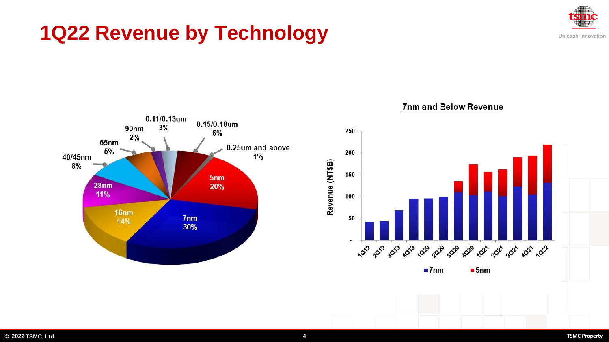## **1Q22 Revenue by Technology**



**Unleash Innovation**



7nm and Below Revenue

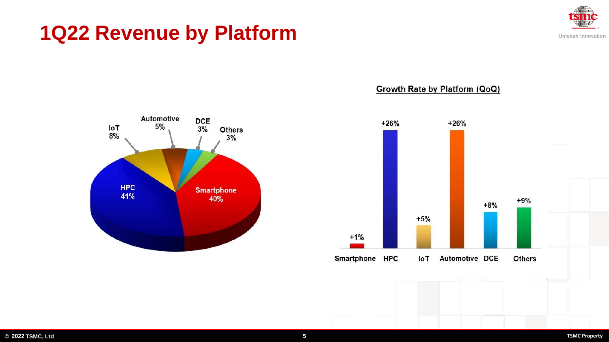### **1Q22 Revenue by Platform**



**Unleash Innovation**



#### Growth Rate by Platform (QoQ)

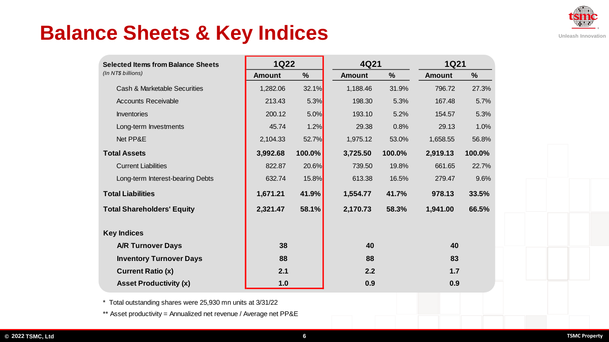

### **Balance Sheets & Key Indices**

| <b>Selected Items from Balance Sheets</b><br>(In NT\$ billions) | <b>1Q22</b>   |               | 4Q21          |               | <b>1Q21</b>   |               |
|-----------------------------------------------------------------|---------------|---------------|---------------|---------------|---------------|---------------|
|                                                                 | <b>Amount</b> | $\frac{9}{6}$ | <b>Amount</b> | $\frac{0}{0}$ | <b>Amount</b> | $\frac{9}{6}$ |
| Cash & Marketable Securities                                    | 1,282.06      | 32.1%         | 1,188.46      | 31.9%         | 796.72        | 27.3%         |
| <b>Accounts Receivable</b>                                      | 213.43        | 5.3%          | 198.30        | 5.3%          | 167.48        | 5.7%          |
| Inventories                                                     | 200.12        | 5.0%          | 193.10        | 5.2%          | 154.57        | 5.3%          |
| Long-term Investments                                           | 45.74         | 1.2%          | 29.38         | 0.8%          | 29.13         | 1.0%          |
| Net PP&E                                                        | 2,104.33      | 52.7%         | 1,975.12      | 53.0%         | 1,658.55      | 56.8%         |
| <b>Total Assets</b>                                             | 3,992.68      | 100.0%        | 3,725.50      | 100.0%        | 2,919.13      | 100.0%        |
| <b>Current Liabilities</b>                                      | 822.87        | 20.6%         | 739.50        | 19.8%         | 661.65        | 22.7%         |
| Long-term Interest-bearing Debts                                | 632.74        | 15.8%         | 613.38        | 16.5%         | 279.47        | 9.6%          |
| <b>Total Liabilities</b>                                        | 1,671.21      | 41.9%         | 1,554.77      | 41.7%         | 978.13        | 33.5%         |
| <b>Total Shareholders' Equity</b>                               | 2,321.47      | 58.1%         | 2,170.73      | 58.3%         | 1,941.00      | 66.5%         |
| <b>Key Indices</b>                                              |               |               |               |               |               |               |
| <b>A/R Turnover Days</b>                                        | 38            |               | 40            |               | 40            |               |
| <b>Inventory Turnover Days</b>                                  | 88            |               | 88            |               | 83            |               |
| <b>Current Ratio (x)</b>                                        | 2.1           |               | 2.2           |               | 1.7           |               |
| <b>Asset Productivity (x)</b>                                   | 1.0           |               | 0.9           |               | 0.9           |               |

\* Total outstanding shares were 25,930 mn units at 3/31/22

\*\* Asset productivity = Annualized net revenue / Average net PP&E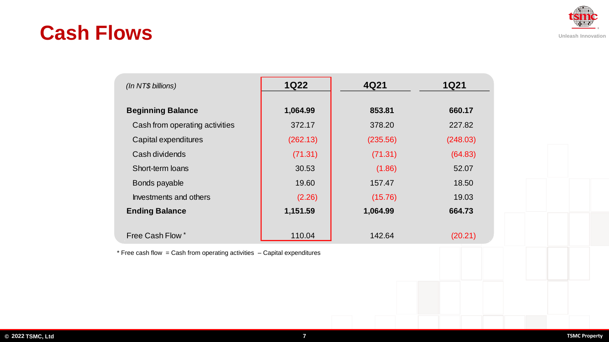### **Cash Flows**

| (ln NTS)                       | <b>1Q22</b> | 4Q21     | <b>1Q21</b> |  |
|--------------------------------|-------------|----------|-------------|--|
| <b>Beginning Balance</b>       | 1,064.99    | 853.81   | 660.17      |  |
| Cash from operating activities | 372.17      | 378.20   | 227.82      |  |
| Capital expenditures           | (262.13)    | (235.56) | (248.03)    |  |
| Cash dividends                 | (71.31)     | (71.31)  | (64.83)     |  |
| Short-term loans               | 30.53       | (1.86)   | 52.07       |  |
| Bonds payable                  | 19.60       | 157.47   | 18.50       |  |
| Investments and others         | (2.26)      | (15.76)  | 19.03       |  |
| <b>Ending Balance</b>          | 1,151.59    | 1,064.99 | 664.73      |  |
| Free Cash Flow *               | 110.04      | 142.64   | (20.21)     |  |

 $*$  Free cash flow = Cash from operating activities  $-$  Capital expenditures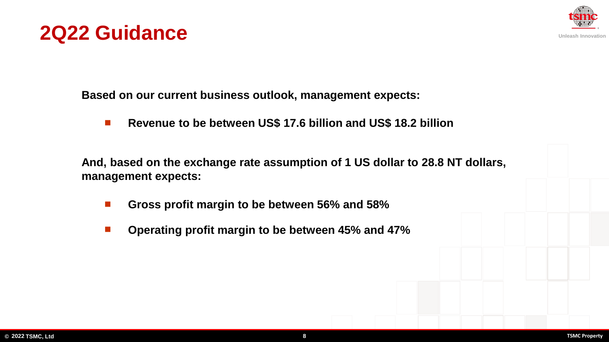



**Based on our current business outlook, management expects:**

◼ **Revenue to be between US\$ 17.6 billion and US\$ 18.2 billion**

**And, based on the exchange rate assumption of 1 US dollar to 28.8 NT dollars, management expects:**

- ◼ **Gross profit margin to be between 56% and 58%**
- ◼ **Operating profit margin to be between 45% and 47%**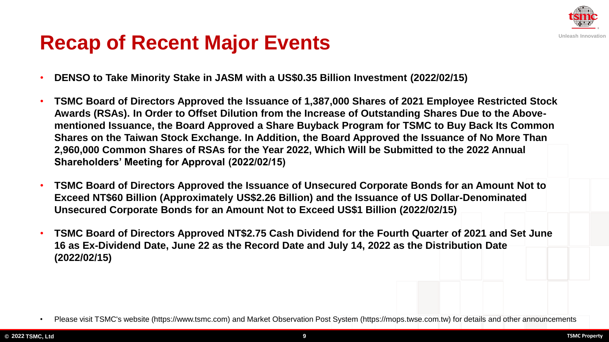

### **Recap of Recent Major Events**

- **DENSO to Take Minority Stake in JASM with a US\$0.35 Billion Investment (2022/02/15)**
- **TSMC Board of Directors Approved the Issuance of 1,387,000 Shares of 2021 Employee Restricted Stock Awards (RSAs). In Order to Offset Dilution from the Increase of Outstanding Shares Due to the Abovementioned Issuance, the Board Approved a Share Buyback Program for TSMC to Buy Back Its Common Shares on the Taiwan Stock Exchange. In Addition, the Board Approved the Issuance of No More Than 2,960,000 Common Shares of RSAs for the Year 2022, Which Will be Submitted to the 2022 Annual Shareholders' Meeting for Approval (2022/02/15)**
- **TSMC Board of Directors Approved the Issuance of Unsecured Corporate Bonds for an Amount Not to Exceed NT\$60 Billion (Approximately US\$2.26 Billion) and the Issuance of US Dollar-Denominated Unsecured Corporate Bonds for an Amount Not to Exceed US\$1 Billion (2022/02/15)**
- **TSMC Board of Directors Approved NT\$2.75 Cash Dividend for the Fourth Quarter of 2021 and Set June 16 as Ex-Dividend Date, June 22 as the Record Date and July 14, 2022 as the Distribution Date (2022/02/15)**

<sup>•</sup> Please visit TSMC's website (https://www.tsmc.com) and Market Observation Post System (https://mops.twse.com.tw) for details and other announcements